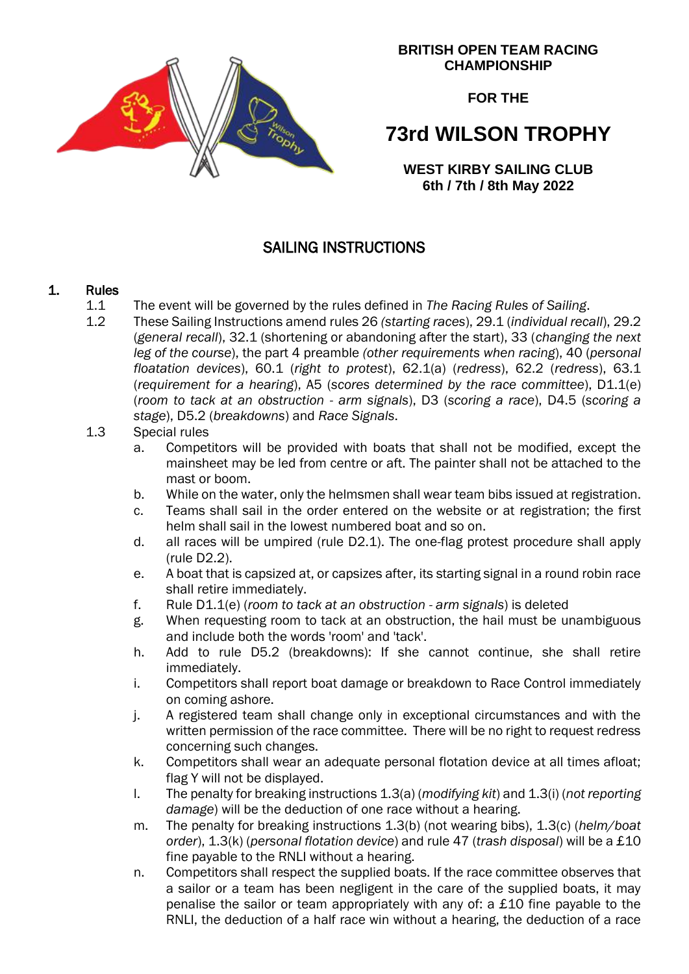

#### **BRITISH OPEN TEAM RACING CHAMPIONSHIP**

**FOR THE**

# **73rd WILSON TROPHY**

**WEST KIRBY SAILING CLUB 6th / 7th / 8th May 2022**

## SAILING INSTRUCTIONS

## 1. Rules

- 1.1 The event will be governed by the rules defined in *The Racing Rules of Sailing*.
- 1.2 These Sailing Instructions amend rules 26 *(starting races*), 29.1 (*individual recall*), 29.2 (*general recall*), 32.1 (shortening or abandoning after the start), 33 (*changing the next leg of the course*), the part 4 preamble *(other requirements when racing*), 40 (*personal floatation devices*), 60.1 (*right to protest*), 62.1(a) (*redress*), 62.2 (*redress*), 63.1 (*requirement for a hearing*), A5 (*scores determined by the race committee*), D1.1(e) (*room to tack at an obstruction - arm signals*), D3 (*scoring a race*), D4.5 (*scoring a stage*), D5.2 (*breakdowns*) and *Race Signals*.

## 1.3 Special rules

- a. Competitors will be provided with boats that shall not be modified, except the mainsheet may be led from centre or aft. The painter shall not be attached to the mast or boom.
- b. While on the water, only the helmsmen shall wear team bibs issued at registration.
- c. Teams shall sail in the order entered on the website or at registration; the first helm shall sail in the lowest numbered boat and so on.
- d. all races will be umpired (rule D2.1). The one-flag protest procedure shall apply (rule D2.2).
- e. A boat that is capsized at, or capsizes after, its starting signal in a round robin race shall retire immediately.
- f. Rule D1.1(e) (*room to tack at an obstruction - arm signals*) is deleted
- g. When requesting room to tack at an obstruction, the hail must be unambiguous and include both the words 'room' and 'tack'.
- h. Add to rule D5.2 (breakdowns): If she cannot continue, she shall retire immediately.
- i. Competitors shall report boat damage or breakdown to Race Control immediately on coming ashore.
- j. A registered team shall change only in exceptional circumstances and with the written permission of the race committee. There will be no right to request redress concerning such changes.
- k. Competitors shall wear an adequate personal flotation device at all times afloat; flag Y will not be displayed.
- l. The penalty for breaking instructions 1.3(a) (*modifying kit*) and 1.3(i) (*not reporting damage*) will be the deduction of one race without a hearing.
- m. The penalty for breaking instructions 1.3(b) (not wearing bibs), 1.3(c) (*helm/boat order*), 1.3(k) (*personal flotation device*) and rule 47 (*trash disposal*) will be a £10 fine payable to the RNLI without a hearing.
- n. Competitors shall respect the supplied boats. If the race committee observes that a sailor or a team has been negligent in the care of the supplied boats, it may penalise the sailor or team appropriately with any of: a £10 fine payable to the RNLI, the deduction of a half race win without a hearing, the deduction of a race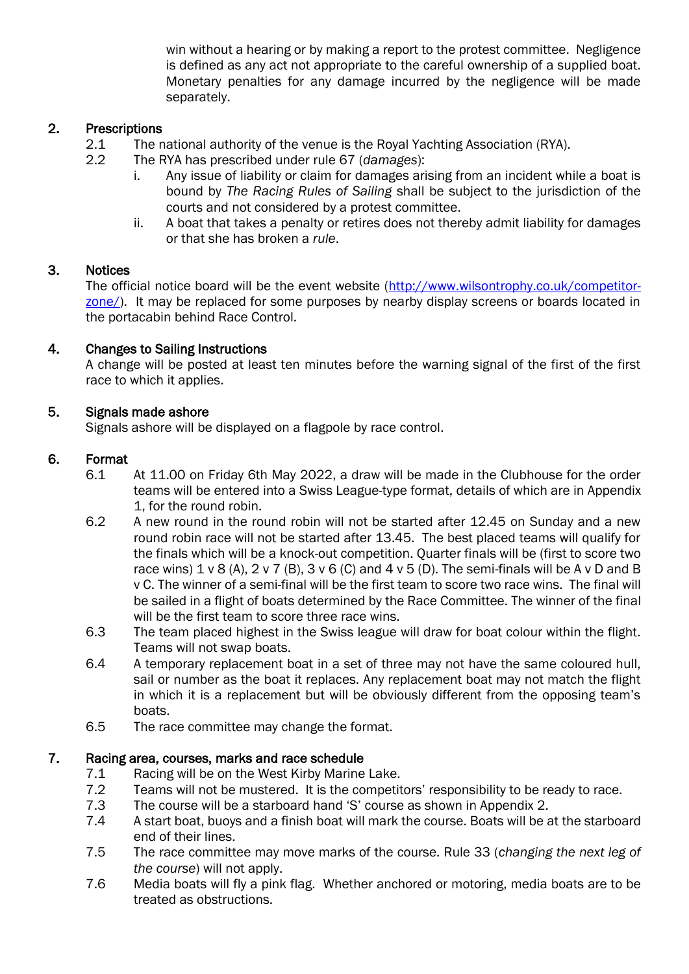win without a hearing or by making a report to the protest committee. Negligence is defined as any act not appropriate to the careful ownership of a supplied boat. Monetary penalties for any damage incurred by the negligence will be made separately.

## 2. Prescriptions

- 2.1 The national authority of the venue is the Royal Yachting Association (RYA).
- 2.2 The RYA has prescribed under rule 67 (*damages*):
	- i. Any issue of liability or claim for damages arising from an incident while a boat is bound by *The Racing Rules of Sailing* shall be subject to the jurisdiction of the courts and not considered by a protest committee.
	- ii. A boat that takes a penalty or retires does not thereby admit liability for damages or that she has broken a *rule*.

#### 3. Notices

The official notice board will be the event website [\(http://www.wilsontrophy.co.uk/competitor](http://www.wilsontrophy.co.uk/competitor-zone/)[zone/\)](http://www.wilsontrophy.co.uk/competitor-zone/). It may be replaced for some purposes by nearby display screens or boards located in the portacabin behind Race Control.

## 4. Changes to Sailing Instructions

A change will be posted at least ten minutes before the warning signal of the first of the first race to which it applies.

## 5. Signals made ashore

Signals ashore will be displayed on a flagpole by race control.

#### 6. Format

- 6.1 At 11.00 on Friday 6th May 2022, a draw will be made in the Clubhouse for the order teams will be entered into a Swiss League-type format, details of which are in Appendix 1, for the round robin.
- 6.2 A new round in the round robin will not be started after 12.45 on Sunday and a new round robin race will not be started after 13.45. The best placed teams will qualify for the finals which will be a knock-out competition. Quarter finals will be (first to score two race wins)  $1 \vee 8$  (A),  $2 \vee 7$  (B),  $3 \vee 6$  (C) and  $4 \vee 5$  (D). The semi-finals will be A  $\vee$  D and B v C. The winner of a semi-final will be the first team to score two race wins. The final will be sailed in a flight of boats determined by the Race Committee. The winner of the final will be the first team to score three race wins.
- 6.3 The team placed highest in the Swiss league will draw for boat colour within the flight. Teams will not swap boats.
- 6.4 A temporary replacement boat in a set of three may not have the same coloured hull, sail or number as the boat it replaces. Any replacement boat may not match the flight in which it is a replacement but will be obviously different from the opposing team's boats.
- 6.5 The race committee may change the format.

### 7. Racing area, courses, marks and race schedule

- 7.1 Racing will be on the West Kirby Marine Lake.
- 7.2 Teams will not be mustered. It is the competitors' responsibility to be ready to race.
- 7.3 The course will be a starboard hand 'S' course as shown in Appendix 2.
- 7.4 A start boat, buoys and a finish boat will mark the course. Boats will be at the starboard end of their lines.
- 7.5 The race committee may move marks of the course. Rule 33 (*changing the next leg of the course*) will not apply.
- 7.6 Media boats will fly a pink flag. Whether anchored or motoring, media boats are to be treated as obstructions.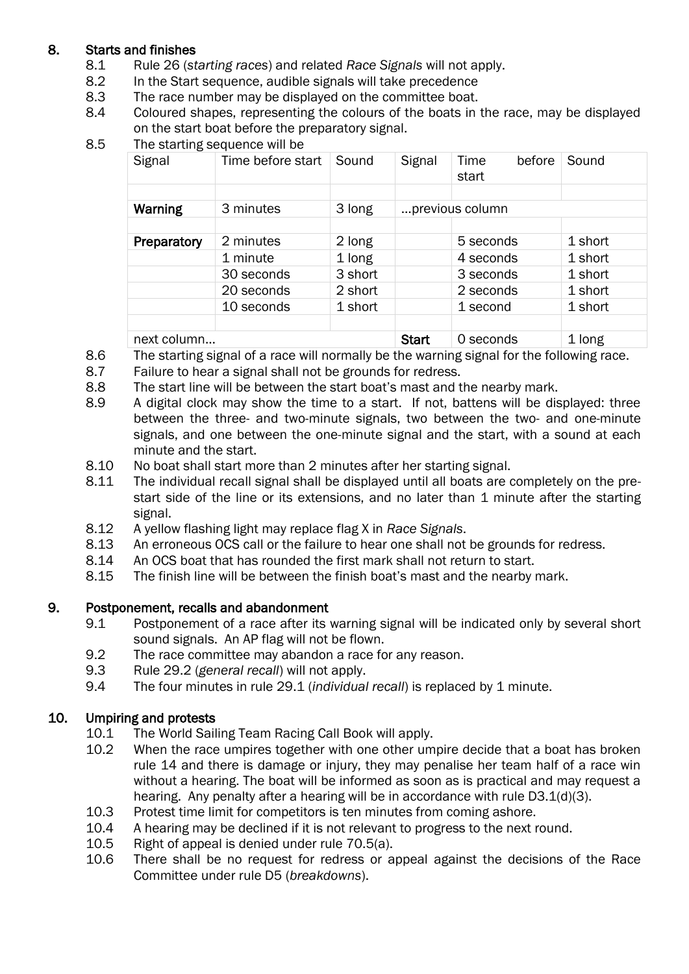## 8. Starts and finishes

- 8.1 Rule 26 (*starting races*) and related *Race Signals* will not apply.
- 8.2 In the Start sequence, audible signals will take precedence
- 8.3 The race number may be displayed on the committee boat.
- 8.4 Coloured shapes, representing the colours of the boats in the race, may be displayed on the start boat before the preparatory signal.
- 8.5 The starting sequence will be

| Signal      | Time before start | Sound   | Signal          | <b>Time</b><br>before<br>start | Sound   |
|-------------|-------------------|---------|-----------------|--------------------------------|---------|
|             |                   |         |                 |                                |         |
| Warning     | 3 minutes         | 3 long  | previous column |                                |         |
|             |                   |         |                 |                                |         |
| Preparatory | 2 minutes         | 2 long  |                 | 5 seconds                      | 1 short |
|             | 1 minute          | 1 long  |                 | 4 seconds                      | 1 short |
|             | 30 seconds        | 3 short |                 | 3 seconds                      | 1 short |
|             | 20 seconds        | 2 short |                 | 2 seconds                      | 1 short |
|             | 10 seconds        | 1 short |                 | 1 second                       | 1 short |
|             |                   |         |                 |                                |         |
| next column |                   |         | <b>Start</b>    | 0 seconds                      | 1 long  |

8.6 The starting signal of a race will normally be the warning signal for the following race.

- 8.7 Failure to hear a signal shall not be grounds for redress.
- 8.8 The start line will be between the start boat's mast and the nearby mark.
- 8.9 A digital clock may show the time to a start. If not, battens will be displayed: three between the three- and two-minute signals, two between the two- and one-minute signals, and one between the one-minute signal and the start, with a sound at each minute and the start.
- 8.10 No boat shall start more than 2 minutes after her starting signal.
- 8.11 The individual recall signal shall be displayed until all boats are completely on the prestart side of the line or its extensions, and no later than 1 minute after the starting signal.
- 8.12 A yellow flashing light may replace flag X in *Race Signals*.
- 8.13 An erroneous OCS call or the failure to hear one shall not be grounds for redress.
- 8.14 An OCS boat that has rounded the first mark shall not return to start.
- 8.15 The finish line will be between the finish boat's mast and the nearby mark.

## 9. Postponement, recalls and abandonment

- 9.1 Postponement of a race after its warning signal will be indicated only by several short sound signals. An AP flag will not be flown.
- 9.2 The race committee may abandon a race for any reason.
- 9.3 Rule 29.2 (*general recall*) will not apply.
- 9.4 The four minutes in rule 29.1 (*individual recall*) is replaced by 1 minute.

## 10. Umpiring and protests

- 10.1 The World Sailing Team Racing Call Book will apply.
- 10.2 When the race umpires together with one other umpire decide that a boat has broken rule 14 and there is damage or injury, they may penalise her team half of a race win without a hearing. The boat will be informed as soon as is practical and may request a hearing. Any penalty after a hearing will be in accordance with rule D3.1(d)(3).
- 10.3 Protest time limit for competitors is ten minutes from coming ashore.
- 10.4 A hearing may be declined if it is not relevant to progress to the next round.
- 10.5 Right of appeal is denied under rule 70.5(a).
- 10.6 There shall be no request for redress or appeal against the decisions of the Race Committee under rule D5 (*breakdowns*).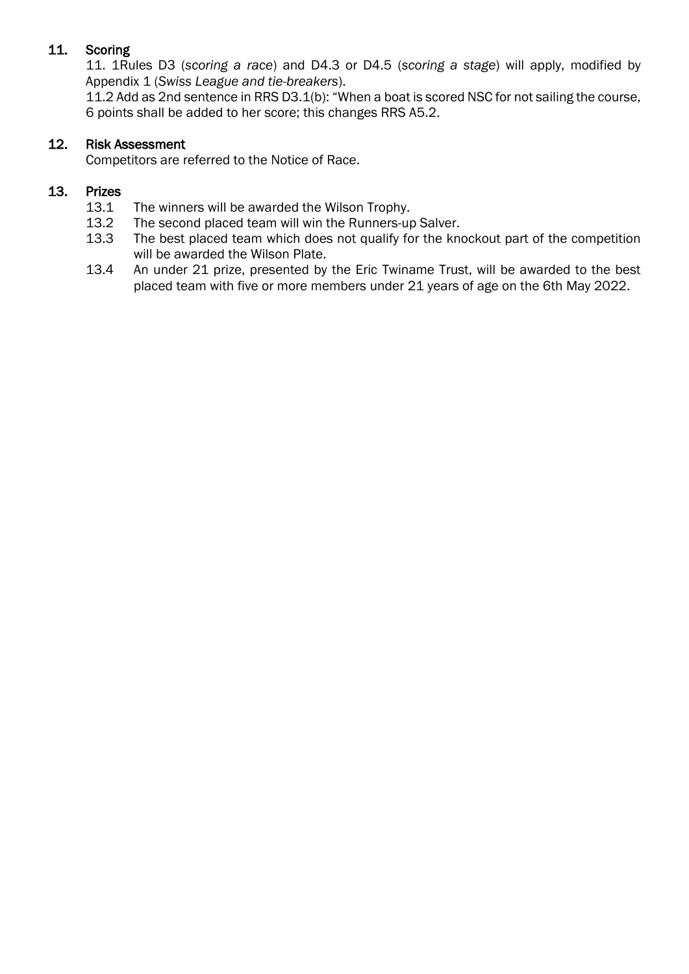## 11. Scoring

11. 1Rules D3 (*scoring a race*) and D4.3 or D4.5 (*scoring a stage*) will apply, modified by Appendix 1 (*Swiss League and tie-breakers*).

11.2 Add as 2nd sentence in RRS D3.1(b): "When a boat is scored NSC for not sailing the course, 6 points shall be added to her score; this changes RRS A5.2.

#### 12. Risk Assessment

Competitors are referred to the Notice of Race.

#### 13. Prizes

- 13.1 The winners will be awarded the Wilson Trophy.
- 13.2 The second placed team will win the Runners-up Salver.
- 13.3 The best placed team which does not qualify for the knockout part of the competition will be awarded the Wilson Plate.
- 13.4 An under 21 prize, presented by the Eric Twiname Trust, will be awarded to the best placed team with five or more members under 21 years of age on the 6th May 2022.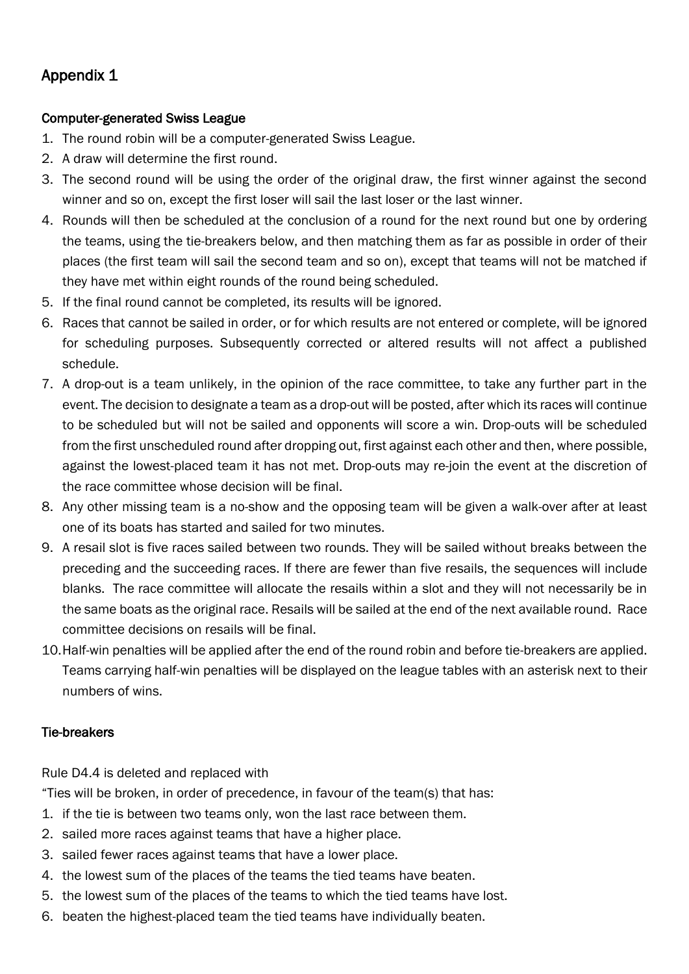# Appendix 1

## Computer-generated Swiss League

- 1. The round robin will be a computer-generated Swiss League.
- 2. A draw will determine the first round.
- 3. The second round will be using the order of the original draw, the first winner against the second winner and so on, except the first loser will sail the last loser or the last winner.
- 4. Rounds will then be scheduled at the conclusion of a round for the next round but one by ordering the teams, using the tie-breakers below, and then matching them as far as possible in order of their places (the first team will sail the second team and so on), except that teams will not be matched if they have met within eight rounds of the round being scheduled.
- 5. If the final round cannot be completed, its results will be ignored.
- 6. Races that cannot be sailed in order, or for which results are not entered or complete, will be ignored for scheduling purposes. Subsequently corrected or altered results will not affect a published schedule.
- 7. A drop-out is a team unlikely, in the opinion of the race committee, to take any further part in the event. The decision to designate a team as a drop-out will be posted, after which its races will continue to be scheduled but will not be sailed and opponents will score a win. Drop-outs will be scheduled from the first unscheduled round after dropping out, first against each other and then, where possible, against the lowest-placed team it has not met. Drop-outs may re-join the event at the discretion of the race committee whose decision will be final.
- 8. Any other missing team is a no-show and the opposing team will be given a walk-over after at least one of its boats has started and sailed for two minutes.
- 9. A resail slot is five races sailed between two rounds. They will be sailed without breaks between the preceding and the succeeding races. If there are fewer than five resails, the sequences will include blanks. The race committee will allocate the resails within a slot and they will not necessarily be in the same boats as the original race. Resails will be sailed at the end of the next available round. Race committee decisions on resails will be final.
- 10.Half-win penalties will be applied after the end of the round robin and before tie-breakers are applied. Teams carrying half-win penalties will be displayed on the league tables with an asterisk next to their numbers of wins.

## Tie-breakers

Rule D4.4 is deleted and replaced with

"Ties will be broken, in order of precedence, in favour of the team(s) that has:

- 1. if the tie is between two teams only, won the last race between them.
- 2. sailed more races against teams that have a higher place.
- 3. sailed fewer races against teams that have a lower place.
- 4. the lowest sum of the places of the teams the tied teams have beaten.
- 5. the lowest sum of the places of the teams to which the tied teams have lost.
- 6. beaten the highest-placed team the tied teams have individually beaten.